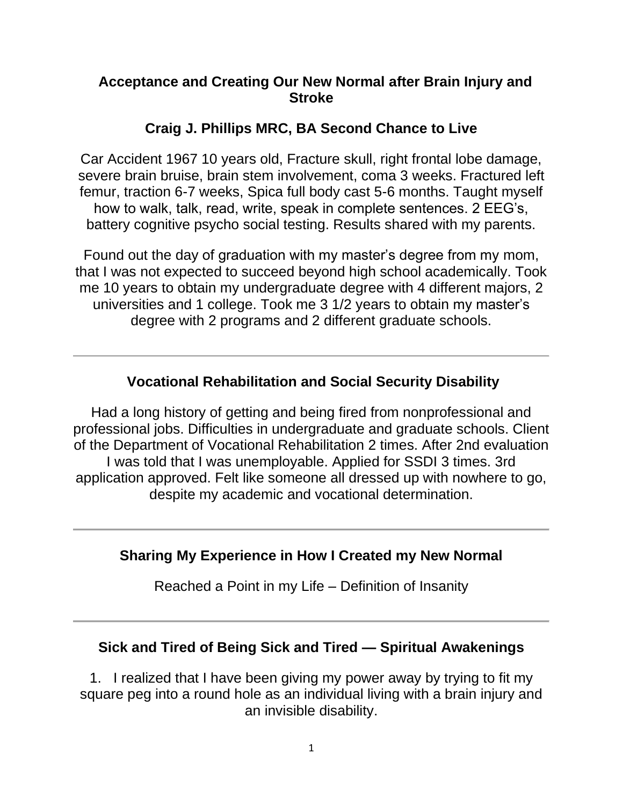### **Acceptance and Creating Our New Normal after Brain Injury and Stroke**

### **Craig J. Phillips MRC, BA Second Chance to Live**

Car Accident 1967 10 years old, Fracture skull, right frontal lobe damage, severe brain bruise, brain stem involvement, coma 3 weeks. Fractured left femur, traction 6-7 weeks, Spica full body cast 5-6 months. Taught myself how to walk, talk, read, write, speak in complete sentences. 2 EEG's, battery cognitive psycho social testing. Results shared with my parents.

Found out the day of graduation with my master's degree from my mom, that I was not expected to succeed beyond high school academically. Took me 10 years to obtain my undergraduate degree with 4 different majors, 2 universities and 1 college. Took me 3 1/2 years to obtain my master's degree with 2 programs and 2 different graduate schools.

### **Vocational Rehabilitation and Social Security Disability**

Had a long history of getting and being fired from nonprofessional and professional jobs. Difficulties in undergraduate and graduate schools. Client of the Department of Vocational Rehabilitation 2 times. After 2nd evaluation I was told that I was unemployable. Applied for SSDI 3 times. 3rd application approved. Felt like someone all dressed up with nowhere to go, despite my academic and vocational determination.

#### **Sharing My Experience in How I Created my New Normal**

Reached a Point in my Life – Definition of Insanity

#### **Sick and Tired of Being Sick and Tired — Spiritual Awakenings**

1. I realized that I have been giving my power away by trying to fit my square peg into a round hole as an individual living with a brain injury and an invisible disability.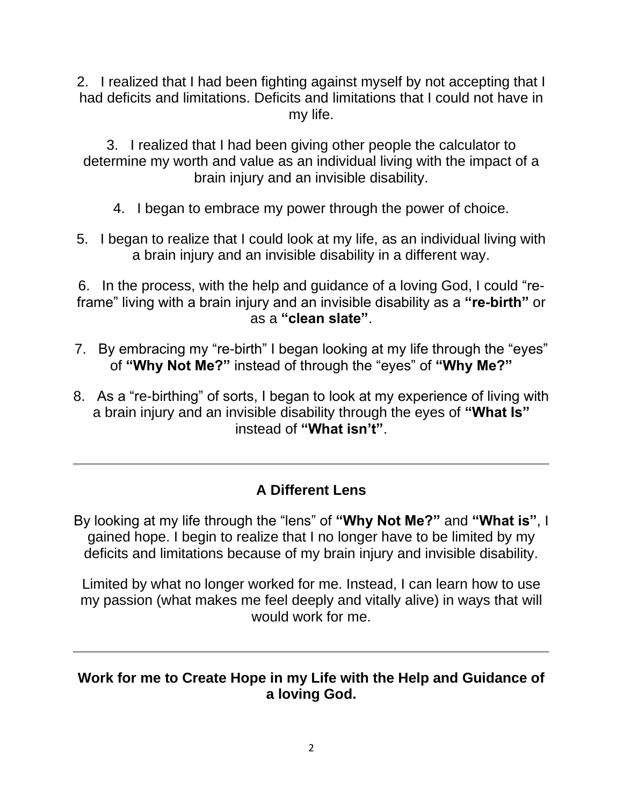2. I realized that I had been fighting against myself by not accepting that I had deficits and limitations. Deficits and limitations that I could not have in my life.

3. I realized that I had been giving other people the calculator to determine my worth and value as an individual living with the impact of a brain injury and an invisible disability.

- 4. I began to embrace my power through the power of choice.
- 5. I began to realize that I could look at my life, as an individual living with a brain injury and an invisible disability in a different way.

6. In the process, with the help and guidance of a loving God, I could "reframe" living with a brain injury and an invisible disability as a **"re-birth"** or as a **"clean slate"**.

- 7. By embracing my "re-birth" I began looking at my life through the "eyes" of **"Why Not Me?"** instead of through the "eyes" of **"Why Me?"**
- 8. As a "re-birthing" of sorts, I began to look at my experience of living with a brain injury and an invisible disability through the eyes of **"What Is"** instead of **"What isn't"**.

## **A Different Lens**

By looking at my life through the "lens" of **"Why Not Me?"** and **"What is"**, I gained hope. I begin to realize that I no longer have to be limited by my deficits and limitations because of my brain injury and invisible disability.

Limited by what no longer worked for me. Instead, I can learn how to use my passion (what makes me feel deeply and vitally alive) in ways that will would work for me.

#### **Work for me to Create Hope in my Life with the Help and Guidance of a loving God.**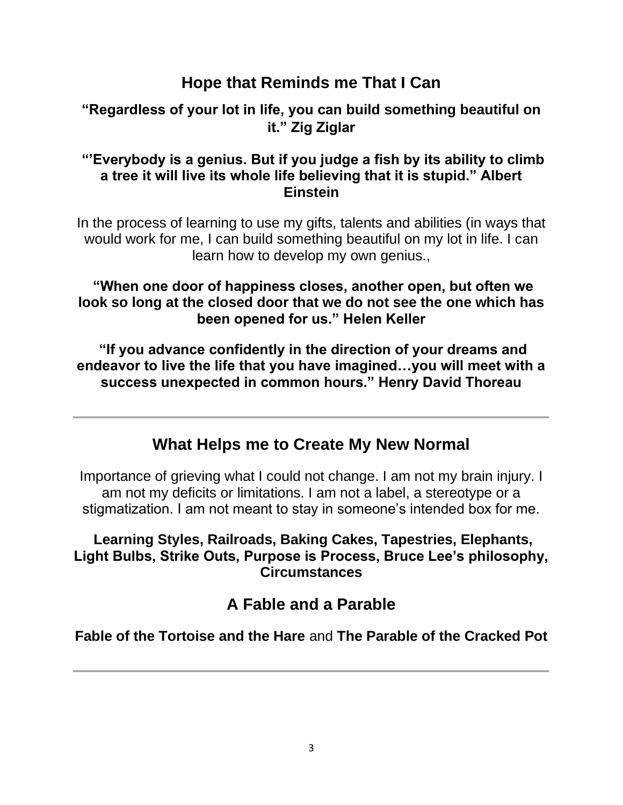## **Hope that Reminds me That I Can**

### **"Regardless of your lot in life, you can build something beautiful on it." Zig Ziglar**

#### **"'Everybody is a genius. But if you judge a fish by its ability to climb a tree it will live its whole life believing that it is stupid." Albert Einstein**

In the process of learning to use my gifts, talents and abilities (in ways that would work for me, I can build something beautiful on my lot in life. I can learn how to develop my own genius.,

**"When one door of happiness closes, another open, but often we look so long at the closed door that we do not see the one which has been opened for us." Helen Keller**

**"If you advance confidently in the direction of your dreams and endeavor to live the life that you have imagined…you will meet with a success unexpected in common hours." Henry David Thoreau**

## **What Helps me to Create My New Normal**

Importance of grieving what I could not change. I am not my brain injury. I am not my deficits or limitations. I am not a label, a stereotype or a stigmatization. I am not meant to stay in someone's intended box for me.

### **Learning Styles, Railroads, Baking Cakes, Tapestries, Elephants, Light Bulbs, Strike Outs, Purpose is Process, Bruce Lee's philosophy, Circumstances**

## **A Fable and a Parable**

**Fable of the Tortoise and the Hare** and **The Parable of the Cracked Pot**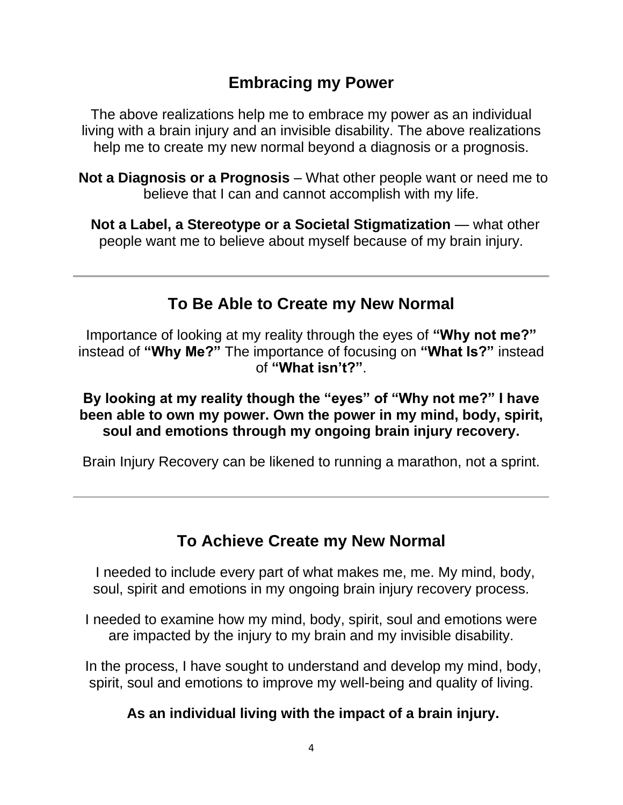## **Embracing my Power**

The above realizations help me to embrace my power as an individual living with a brain injury and an invisible disability. The above realizations help me to create my new normal beyond a diagnosis or a prognosis.

**Not a Diagnosis or a Prognosis** – What other people want or need me to believe that I can and cannot accomplish with my life.

 **Not a Label, a Stereotype or a Societal Stigmatization** — what other people want me to believe about myself because of my brain injury.

## **To Be Able to Create my New Normal**

Importance of looking at my reality through the eyes of **"Why not me?"** instead of **"Why Me?"** The importance of focusing on **"What Is?"** instead of **"What isn't?"**.

**By looking at my reality though the "eyes" of "Why not me?" I have been able to own my power. Own the power in my mind, body, spirit, soul and emotions through my ongoing brain injury recovery.**

Brain Injury Recovery can be likened to running a marathon, not a sprint.

# **To Achieve Create my New Normal**

I needed to include every part of what makes me, me. My mind, body, soul, spirit and emotions in my ongoing brain injury recovery process.

I needed to examine how my mind, body, spirit, soul and emotions were are impacted by the injury to my brain and my invisible disability.

In the process, I have sought to understand and develop my mind, body, spirit, soul and emotions to improve my well-being and quality of living.

## **As an individual living with the impact of a brain injury.**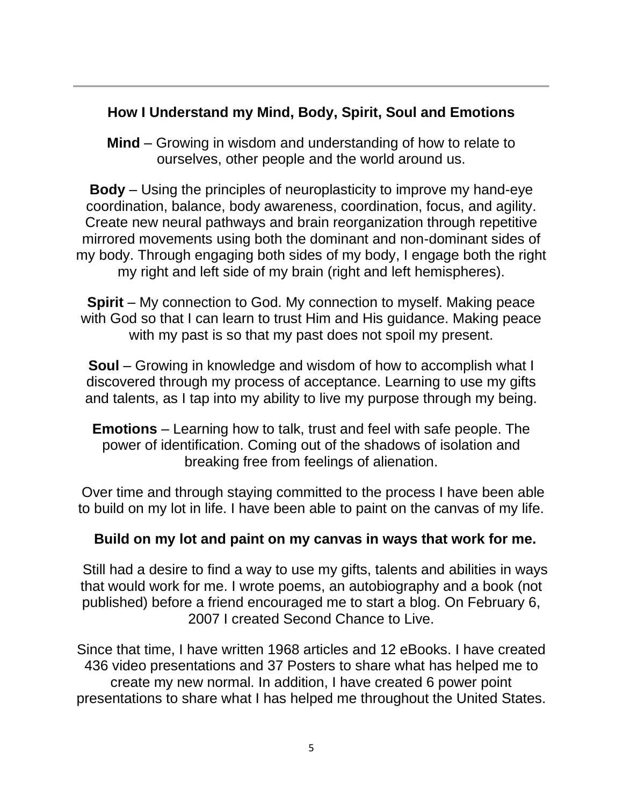### **How I Understand my Mind, Body, Spirit, Soul and Emotions**

**Mind** – Growing in wisdom and understanding of how to relate to ourselves, other people and the world around us.

**Body** – Using the principles of neuroplasticity to improve my hand-eye coordination, balance, body awareness, coordination, focus, and agility. Create new neural pathways and brain reorganization through repetitive mirrored movements using both the dominant and non-dominant sides of my body. Through engaging both sides of my body, I engage both the right my right and left side of my brain (right and left hemispheres).

**Spirit** – My connection to God. My connection to myself. Making peace with God so that I can learn to trust Him and His guidance. Making peace with my past is so that my past does not spoil my present.

**Soul** – Growing in knowledge and wisdom of how to accomplish what I discovered through my process of acceptance. Learning to use my gifts and talents, as I tap into my ability to live my purpose through my being.

**Emotions** – Learning how to talk, trust and feel with safe people. The power of identification. Coming out of the shadows of isolation and breaking free from feelings of alienation.

Over time and through staying committed to the process I have been able to build on my lot in life. I have been able to paint on the canvas of my life.

### **Build on my lot and paint on my canvas in ways that work for me.**

Still had a desire to find a way to use my gifts, talents and abilities in ways that would work for me. I wrote poems, an autobiography and a book (not published) before a friend encouraged me to start a blog. On February 6, 2007 I created Second Chance to Live.

Since that time, I have written 1968 articles and 12 eBooks. I have created 436 video presentations and 37 Posters to share what has helped me to create my new normal. In addition, I have created 6 power point presentations to share what I has helped me throughout the United States.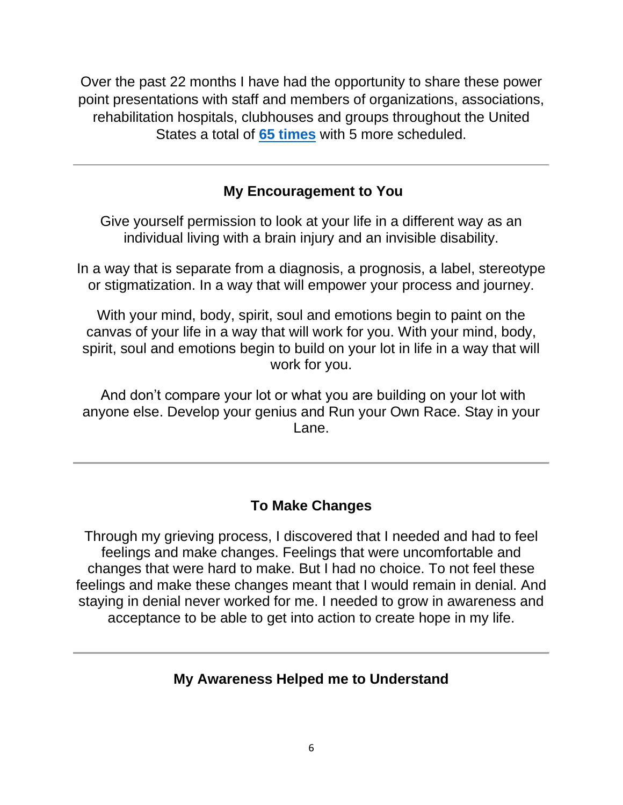Over the past 22 months I have had the opportunity to share these power point presentations with staff and members of organizations, associations, rehabilitation hospitals, clubhouses and groups throughout the United States a total of **65 [times](https://secondchancetolive.org/brain-injury-support-keynote-presentations-through-zoom/)** with 5 more scheduled.

### **My Encouragement to You**

Give yourself permission to look at your life in a different way as an individual living with a brain injury and an invisible disability.

In a way that is separate from a diagnosis, a prognosis, a label, stereotype or stigmatization. In a way that will empower your process and journey.

With your mind, body, spirit, soul and emotions begin to paint on the canvas of your life in a way that will work for you. With your mind, body, spirit, soul and emotions begin to build on your lot in life in a way that will work for you.

And don't compare your lot or what you are building on your lot with anyone else. Develop your genius and Run your Own Race. Stay in your Lane.

### **To Make Changes**

Through my grieving process, I discovered that I needed and had to feel feelings and make changes. Feelings that were uncomfortable and changes that were hard to make. But I had no choice. To not feel these feelings and make these changes meant that I would remain in denial. And staying in denial never worked for me. I needed to grow in awareness and acceptance to be able to get into action to create hope in my life.

### **My Awareness Helped me to Understand**